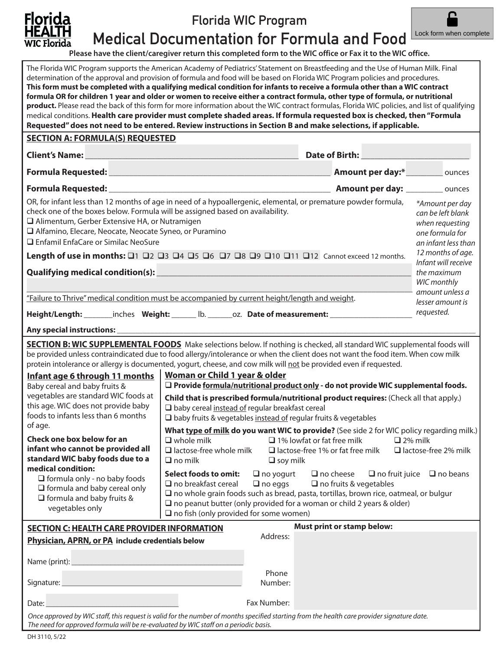

Florida WIC Program



Medical Documentation for Formula and Food

**Please have the client/caregiver return this completed form to the WIC office or Fax it to the WIC office.**

| The Florida WIC Program supports the American Academy of Pediatrics' Statement on Breastfeeding and the Use of Human Milk. Final<br>determination of the approval and provision of formula and food will be based on Florida WIC Program policies and procedures.<br>This form must be completed with a qualifying medical condition for infants to receive a formula other than a WIC contract<br>formula OR for children 1 year and older or women to receive either a contract formula, other type of formula, or nutritional<br>product. Please read the back of this form for more information about the WIC contract formulas, Florida WIC policies, and list of qualifying<br>medical conditions. Health care provider must complete shaded areas. If formula requested box is checked, then "Formula<br>Requested" does not need to be entered. Review instructions in Section B and make selections, if applicable. |                                                                                                                                                                                                                                                                                                                                                            |                                                          |                                                                                                                                                                                                                                                                                                                                                                                                                                                                                                                                                                                                                                                |                                                                                                   |  |
|------------------------------------------------------------------------------------------------------------------------------------------------------------------------------------------------------------------------------------------------------------------------------------------------------------------------------------------------------------------------------------------------------------------------------------------------------------------------------------------------------------------------------------------------------------------------------------------------------------------------------------------------------------------------------------------------------------------------------------------------------------------------------------------------------------------------------------------------------------------------------------------------------------------------------|------------------------------------------------------------------------------------------------------------------------------------------------------------------------------------------------------------------------------------------------------------------------------------------------------------------------------------------------------------|----------------------------------------------------------|------------------------------------------------------------------------------------------------------------------------------------------------------------------------------------------------------------------------------------------------------------------------------------------------------------------------------------------------------------------------------------------------------------------------------------------------------------------------------------------------------------------------------------------------------------------------------------------------------------------------------------------------|---------------------------------------------------------------------------------------------------|--|
| <b>SECTION A: FORMULA(S) REQUESTED</b>                                                                                                                                                                                                                                                                                                                                                                                                                                                                                                                                                                                                                                                                                                                                                                                                                                                                                       |                                                                                                                                                                                                                                                                                                                                                            |                                                          |                                                                                                                                                                                                                                                                                                                                                                                                                                                                                                                                                                                                                                                |                                                                                                   |  |
| Client's Name: Note: Note: Note: Note: Note: Note: Note: Note: Note: Note: Note: Note: Note: Note: Note: Note: Note: Note: Note: Note: Note: Note: Note: Note: Note: Note: Note: Note: Note: Note: Note: Note: Note: Note: Not                                                                                                                                                                                                                                                                                                                                                                                                                                                                                                                                                                                                                                                                                               |                                                                                                                                                                                                                                                                                                                                                            |                                                          |                                                                                                                                                                                                                                                                                                                                                                                                                                                                                                                                                                                                                                                |                                                                                                   |  |
|                                                                                                                                                                                                                                                                                                                                                                                                                                                                                                                                                                                                                                                                                                                                                                                                                                                                                                                              |                                                                                                                                                                                                                                                                                                                                                            |                                                          |                                                                                                                                                                                                                                                                                                                                                                                                                                                                                                                                                                                                                                                |                                                                                                   |  |
|                                                                                                                                                                                                                                                                                                                                                                                                                                                                                                                                                                                                                                                                                                                                                                                                                                                                                                                              |                                                                                                                                                                                                                                                                                                                                                            |                                                          |                                                                                                                                                                                                                                                                                                                                                                                                                                                                                                                                                                                                                                                |                                                                                                   |  |
| OR, for infant less than 12 months of age in need of a hypoallergenic, elemental, or premature powder formula,<br>check one of the boxes below. Formula will be assigned based on availability.<br>□ Alimentum, Gerber Extensive HA, or Nutramigen<br>Alfamino, Elecare, Neocate, Neocate Syneo, or Puramino<br>□ Enfamil EnfaCare or Similac NeoSure                                                                                                                                                                                                                                                                                                                                                                                                                                                                                                                                                                        |                                                                                                                                                                                                                                                                                                                                                            |                                                          |                                                                                                                                                                                                                                                                                                                                                                                                                                                                                                                                                                                                                                                | *Amount per day<br>can be left blank<br>when requesting<br>one formula for<br>an infant less than |  |
| Length of use in months: 01 02 03 04 05 06 07 08 09 010 011 012 Cannot exceed 12 months.                                                                                                                                                                                                                                                                                                                                                                                                                                                                                                                                                                                                                                                                                                                                                                                                                                     |                                                                                                                                                                                                                                                                                                                                                            |                                                          |                                                                                                                                                                                                                                                                                                                                                                                                                                                                                                                                                                                                                                                | 12 months of age.<br>Infant will receive                                                          |  |
| Qualifying medical condition(s): ___________                                                                                                                                                                                                                                                                                                                                                                                                                                                                                                                                                                                                                                                                                                                                                                                                                                                                                 |                                                                                                                                                                                                                                                                                                                                                            |                                                          |                                                                                                                                                                                                                                                                                                                                                                                                                                                                                                                                                                                                                                                | the maximum                                                                                       |  |
|                                                                                                                                                                                                                                                                                                                                                                                                                                                                                                                                                                                                                                                                                                                                                                                                                                                                                                                              |                                                                                                                                                                                                                                                                                                                                                            |                                                          |                                                                                                                                                                                                                                                                                                                                                                                                                                                                                                                                                                                                                                                | WIC monthly<br>amount unless a                                                                    |  |
| "Failure to Thrive" medical condition must be accompanied by current height/length and weight.                                                                                                                                                                                                                                                                                                                                                                                                                                                                                                                                                                                                                                                                                                                                                                                                                               |                                                                                                                                                                                                                                                                                                                                                            |                                                          |                                                                                                                                                                                                                                                                                                                                                                                                                                                                                                                                                                                                                                                | lesser amount is                                                                                  |  |
| requested.<br>Height/Length: ________inches Weight: _______ lb. _______oz. Date of measurement: __________________                                                                                                                                                                                                                                                                                                                                                                                                                                                                                                                                                                                                                                                                                                                                                                                                           |                                                                                                                                                                                                                                                                                                                                                            |                                                          |                                                                                                                                                                                                                                                                                                                                                                                                                                                                                                                                                                                                                                                |                                                                                                   |  |
|                                                                                                                                                                                                                                                                                                                                                                                                                                                                                                                                                                                                                                                                                                                                                                                                                                                                                                                              |                                                                                                                                                                                                                                                                                                                                                            |                                                          |                                                                                                                                                                                                                                                                                                                                                                                                                                                                                                                                                                                                                                                |                                                                                                   |  |
| <b>SECTION B: WIC SUPPLEMENTAL FOODS</b> Make selections below. If nothing is checked, all standard WIC supplemental foods will<br>be provided unless contraindicated due to food allergy/intolerance or when the client does not want the food item. When cow milk<br>protein intolerance or allergy is documented, yogurt, cheese, and cow milk will not be provided even if requested.<br>Infant age 6 through 11 months<br>Baby cereal and baby fruits &<br>vegetables are standard WIC foods at<br>this age. WIC does not provide baby<br>foods to infants less than 6 months<br>of age.<br>Check one box below for an<br>infant who cannot be provided all<br>standard WIC baby foods due to a<br>medical condition:<br>$\Box$ formula only - no baby foods<br>$\Box$ formula and baby cereal only<br>$\Box$ formula and baby fruits &<br>vegetables only                                                              | Woman or Child 1 year & older<br>□ baby cereal instead of regular breakfast cereal<br>$\square$ baby fruits & vegetables instead of regular fruits & vegetables<br>$\Box$ whole milk<br>$\Box$ lactose-free whole milk<br>$\Box$ no milk<br><b>Select foods to omit:</b><br>$\Box$ no breakfast cereal<br>$\square$ no fish (only provided for some women) | $\square$ soy milk<br>$\Box$ no yogurt<br>$\Box$ no eggs | $\Box$ Provide formula/nutritional product only - do not provide WIC supplemental foods.<br>Child that is prescribed formula/nutritional product requires: (Check all that apply.)<br>What type of milk do you want WIC to provide? (See side 2 for WIC policy regarding milk.)<br>$\Box$ 1% lowfat or fat free milk<br>$\Box$ lactose-free 1% or fat free milk<br>$\Box$ no cheese<br>$\Box$ no fruits & vegetables<br>$\square$ no whole grain foods such as bread, pasta, tortillas, brown rice, oatmeal, or bulgur<br>$\square$ no peanut butter (only provided for a woman or child 2 years & older)<br><b>Must print or stamp below:</b> | $\Box$ 2% milk<br>$\Box$ lactose-free 2% milk<br>$\Box$ no fruit juice $\Box$ no beans            |  |
| <b>SECTION C: HEALTH CARE PROVIDER INFORMATION</b><br>Address:<br>Physician, APRN, or PA include credentials below                                                                                                                                                                                                                                                                                                                                                                                                                                                                                                                                                                                                                                                                                                                                                                                                           |                                                                                                                                                                                                                                                                                                                                                            |                                                          |                                                                                                                                                                                                                                                                                                                                                                                                                                                                                                                                                                                                                                                |                                                                                                   |  |
| Signature:                                                                                                                                                                                                                                                                                                                                                                                                                                                                                                                                                                                                                                                                                                                                                                                                                                                                                                                   |                                                                                                                                                                                                                                                                                                                                                            | Phone<br>Number:<br>Fax Number:                          |                                                                                                                                                                                                                                                                                                                                                                                                                                                                                                                                                                                                                                                |                                                                                                   |  |
| Date:<br>Once approved by WIC staff, this request is valid for the number of months specified starting from the health care provider signature date.<br>The need for approved formula will be re-evaluated by WIC staff on a periodic basis.                                                                                                                                                                                                                                                                                                                                                                                                                                                                                                                                                                                                                                                                                 |                                                                                                                                                                                                                                                                                                                                                            |                                                          |                                                                                                                                                                                                                                                                                                                                                                                                                                                                                                                                                                                                                                                |                                                                                                   |  |